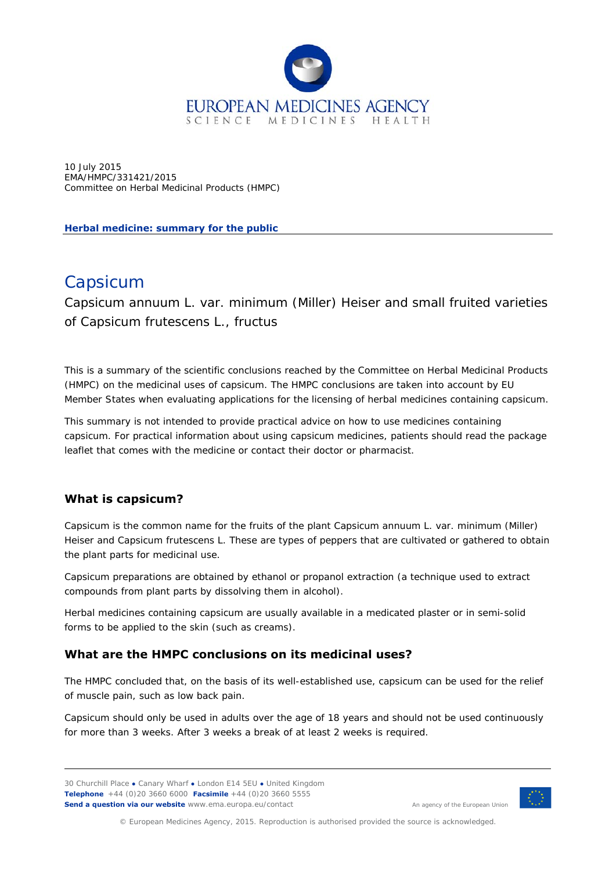

10 July 2015 EMA/HMPC/331421/2015 Committee on Herbal Medicinal Products (HMPC)

**Herbal medicine: summary for the public** 

# Capsicum

*Capsicum annuum* L. var. *minimum* (Miller) Heiser and small fruited varieties of *Capsicum frutescens* L., fructus

This is a summary of the scientific conclusions reached by the Committee on Herbal Medicinal Products (HMPC) on the medicinal uses of capsicum. The HMPC conclusions are taken into account by EU Member States when evaluating applications for the licensing of herbal medicines containing capsicum.

This summary is not intended to provide practical advice on how to use medicines containing capsicum. For practical information about using capsicum medicines, patients should read the package leaflet that comes with the medicine or contact their doctor or pharmacist.

# **What is capsicum?**

Capsicum is the common name for the fruits of the plant *Capsicum annuum* L. var. *minimum* (Miller) Heiser and *Capsicum frutescens* L. These are types of peppers that are cultivated or gathered to obtain the plant parts for medicinal use.

Capsicum preparations are obtained by ethanol or propanol extraction (a technique used to extract compounds from plant parts by dissolving them in alcohol).

Herbal medicines containing capsicum are usually available in a medicated plaster or in semi-solid forms to be applied to the skin (such as creams).

# **What are the HMPC conclusions on its medicinal uses?**

The HMPC concluded that, on the basis of its well-established use, capsicum can be used for the relief of muscle pain, such as low back pain.

Capsicum should only be used in adults over the age of 18 years and should not be used continuously for more than 3 weeks. After 3 weeks a break of at least 2 weeks is required.

30 Churchill Place **●** Canary Wharf **●** London E14 5EU **●** United Kingdom **Telephone** +44 (0)20 3660 6000 **Facsimile** +44 (0)20 3660 5555 **Send a question via our website** www.ema.europa.eu/contact



An agency of the European Union

© European Medicines Agency, 2015. Reproduction is authorised provided the source is acknowledged.